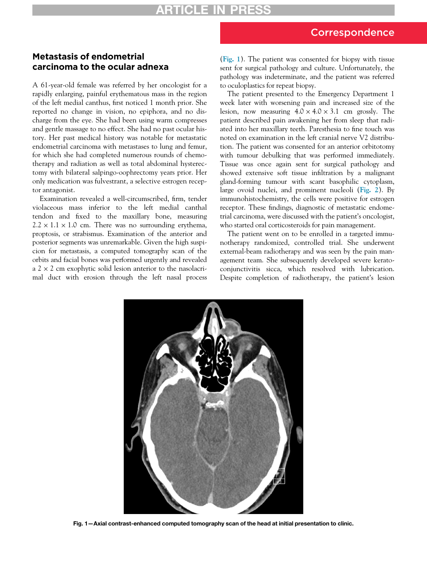## Metastasis of endometrial carcinoma to the ocular adnexa

A 61-year-old female was referred by her oncologist for a rapidly enlarging, painful erythematous mass in the region of the left medial canthus, first noticed 1 month prior. She reported no change in vision, no epiphora, and no discharge from the eye. She had been using warm compresses and gentle massage to no effect. She had no past ocular history. Her past medical history was notable for metastatic endometrial carcinoma with metastases to lung and femur, for which she had completed numerous rounds of chemotherapy and radiation as well as total abdominal hysterectomy with bilateral salpingo-oophrectomy years prior. Her only medication was fulvestrant, a selective estrogen receptor antagonist.

<span id="page-0-0"></span>Examination revealed a well-circumscribed, firm, tender violaceous mass inferior to the left medial canthal tendon and fixed to the maxillary bone, measuring  $2.2 \times 1.1 \times 1.0$  cm. There was no surrounding erythema, proptosis, or strabismus. Examination of the anterior and posterior segments was unremarkable. Given the high suspicion for metastasis, a computed tomography scan of the orbits and facial bones was performed urgently and revealed  $a$  2  $\times$  2 cm exophytic solid lesion anterior to the nasolacrimal duct with erosion through the left nasal process

([Fig. 1](#page-0-0)). The patient was consented for biopsy with tissue sent for surgical pathology and culture. Unfortunately, the pathology was indeterminate, and the patient was referred to oculoplastics for repeat biopsy.

The patient presented to the Emergency Department 1 week later with worsening pain and increased size of the lesion, now measuring  $4.0 \times 4.0 \times 3.1$  cm grossly. The patient described pain awakening her from sleep that radiated into her maxillary teeth. Paresthesia to fine touch was noted on examination in the left cranial nerve V2 distribution. The patient was consented for an anterior orbitotomy with tumour debulking that was performed immediately. Tissue was once again sent for surgical pathology and showed extensive soft tissue infiltration by a malignant gland-forming tumour with scant basophilic cytoplasm, large ovoid nuclei, and prominent nucleoli ([Fig. 2](#page-1-0)). By immunohistochemistry, the cells were positive for estrogen receptor. These findings, diagnostic of metastatic endometrial carcinoma, were discussed with the patient's oncologist, who started oral corticosteroids for pain management.

The patient went on to be enrolled in a targeted immunotherapy randomized, controlled trial. She underwent external-beam radiotherapy and was seen by the pain management team. She subsequently developed severe keratoconjunctivitis sicca, which resolved with lubrication. Despite completion of radiotherapy, the patient's lesion



Fig. 1—Axial contrast-enhanced computed tomography scan of the head at initial presentation to clinic.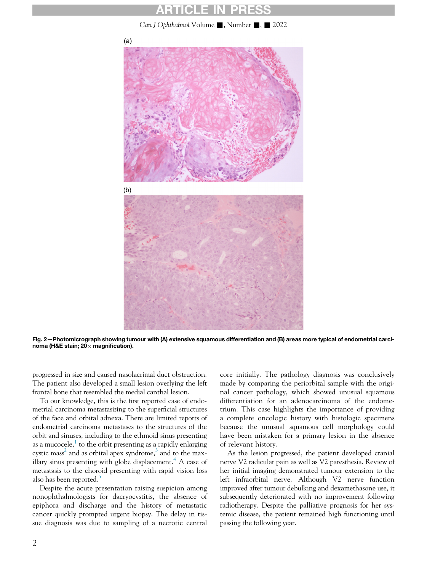## ARTICLE IN PRESS

Can J Ophthalmol Volume  $\blacksquare$ , Number  $\blacksquare$ ,  $\blacksquare$  2022

<span id="page-1-0"></span>

Fig. 2—Photomicrograph showing tumour with (A) extensive squamous differentiation and (B) areas more typical of endometrial carcinoma (H&E stain;  $20 \times$  magnification).

progressed in size and caused nasolacrimal duct obstruction. The patient also developed a small lesion overlying the left frontal bone that resembled the medial canthal lesion.

To our knowledge, this is the first reported case of endometrial carcinoma metastasizing to the superficial structures of the face and orbital adnexa. There are limited reports of endometrial carcinoma metastases to the structures of the orbit and sinuses, including to the ethmoid sinus presenting as a mucocele, $\frac{1}{1}$  $\frac{1}{1}$  $\frac{1}{1}$  to the orbit presenting as a rapidly enlarging cystic mass<sup>[2](#page-2-1)</sup> and as orbital apex syndrome, $3$  and to the max-illary sinus presenting with globe displacement.<sup>[4](#page-2-3)</sup> A case of metastasis to the choroid presenting with rapid vision loss also has been reported.<sup>[5](#page-2-4)</sup>

Despite the acute presentation raising suspicion among nonophthalmologists for dacryocystitis, the absence of epiphora and discharge and the history of metastatic cancer quickly prompted urgent biopsy. The delay in tissue diagnosis was due to sampling of a necrotic central core initially. The pathology diagnosis was conclusively made by comparing the periorbital sample with the original cancer pathology, which showed unusual squamous differentiation for an adenocarcinoma of the endometrium. This case highlights the importance of providing a complete oncologic history with histologic specimens because the unusual squamous cell morphology could have been mistaken for a primary lesion in the absence of relevant history.

As the lesion progressed, the patient developed cranial nerve V2 radicular pain as well as V2 paresthesia. Review of her initial imaging demonstrated tumour extension to the left infraorbital nerve. Although V2 nerve function improved after tumour debulking and dexamethasone use, it subsequently deteriorated with no improvement following radiotherapy. Despite the palliative prognosis for her systemic disease, the patient remained high functioning until passing the following year.